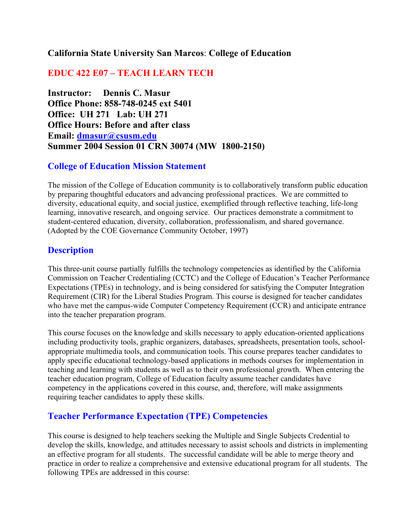### **California State University San Marcos**: **College of Education**

# **EDUC 422 E07 – TEACH LEARN TECH**

**Instructor: Dennis C. Masur Office Phone: 858-748-0245 ext 5401 Office: UH 271 Lab: UH 271 Office Hours: Before and after class Email: dmasur@csusm.edu Summer 2004 Session 01 CRN 30074 (MW 1800-2150)**

#### **College of Education Mission Statement**

The mission of the College of Education community is to collaboratively transform public education by preparing thoughtful educators and advancing professional practices. We are committed to diversity, educational equity, and social justice, exemplified through reflective teaching, life-long learning, innovative research, and ongoing service. Our practices demonstrate a commitment to student-centered education, diversity, collaboration, professionalism, and shared governance. (Adopted by the COE Governance Community October, 1997)

#### **Description**

This three-unit course partially fulfills the technology competencies as identified by the California Commission on Teacher Credentialing (CCTC) and the College of Education's Teacher Performance Expectations (TPEs) in technology, and is being considered for satisfying the Computer Integration Requirement (CIR) for the Liberal Studies Program. This course is designed for teacher candidates who have met the campus-wide Computer Competency Requirement (CCR) and anticipate entrance into the teacher preparation program.

This course focuses on the knowledge and skills necessary to apply education-oriented applications including productivity tools, graphic organizers, databases, spreadsheets, presentation tools, schoolappropriate multimedia tools, and communication tools. This course prepares teacher candidates to apply specific educational technology-based applications in methods courses for implementation in teaching and learning with students as well as to their own professional growth. When entering the teacher education program, College of Education faculty assume teacher candidates have competency in the applications covered in this course, and, therefore, will make assignments requiring teacher candidates to apply these skills.

#### **Teacher Performance Expectation (TPE) Competencies**

This course is designed to help teachers seeking the Multiple and Single Subjects Credential to develop the skills, knowledge, and attitudes necessary to assist schools and districts in implementing an effective program for all students. The successful candidate will be able to merge theory and practice in order to realize a comprehensive and extensive educational program for all students. The following TPEs are addressed in this course: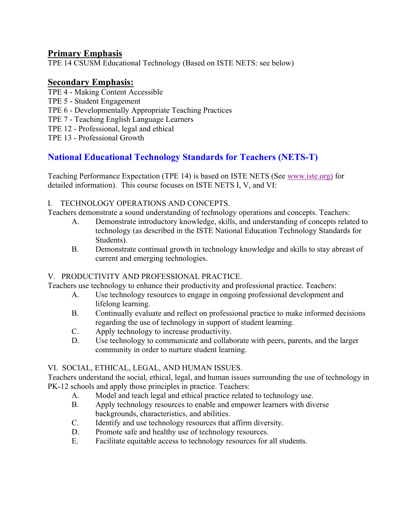# **Primary Emphasis**

TPE 14 CSUSM Educational Technology (Based on ISTE NETS: see below)

# **Secondary Emphasis:**

- TPE 4 Making Content Accessible
- TPE 5 Student Engagement
- TPE 6 Developmentally Appropriate Teaching Practices
- TPE 7 Teaching English Language Learners
- TPE 12 Professional, legal and ethical
- TPE 13 Professional Growth

# **National Educational Technology Standards for Teachers (NETS-T)**

Teaching Performance Expectation (TPE 14) is based on ISTE NETS (See www.iste.org) for detailed information). This course focuses on ISTE NETS I, V, and VI:

#### I. TECHNOLOGY OPERATIONS AND CONCEPTS.

Teachers demonstrate a sound understanding of technology operations and concepts. Teachers:

- A. Demonstrate introductory knowledge, skills, and understanding of concepts related to technology (as described in the ISTE National Education Technology Standards for Students).
- B. Demonstrate continual growth in technology knowledge and skills to stay abreast of current and emerging technologies.

#### V. PRODUCTIVITY AND PROFESSIONAL PRACTICE.

Teachers use technology to enhance their productivity and professional practice. Teachers:

- A. Use technology resources to engage in ongoing professional development and lifelong learning.
- B. Continually evaluate and reflect on professional practice to make informed decisions regarding the use of technology in support of student learning.
- C. Apply technology to increase productivity.
- D. Use technology to communicate and collaborate with peers, parents, and the larger community in order to nurture student learning.

#### VI. SOCIAL, ETHICAL, LEGAL, AND HUMAN ISSUES.

Teachers understand the social, ethical, legal, and human issues surrounding the use of technology in PK-12 schools and apply those principles in practice. Teachers:

- A. Model and teach legal and ethical practice related to technology use.
- B. Apply technology resources to enable and empower learners with diverse backgrounds, characteristics, and abilities.
- C. Identify and use technology resources that affirm diversity.
- D. Promote safe and healthy use of technology resources.
- E. Facilitate equitable access to technology resources for all students.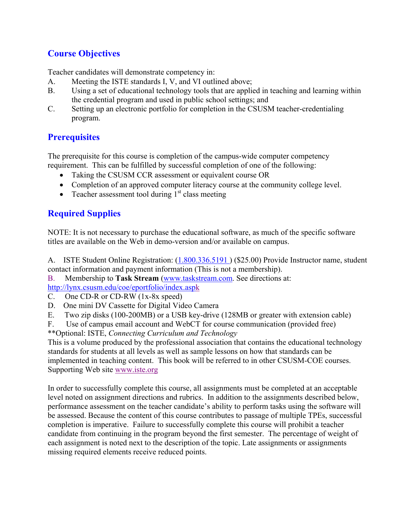# **Course Objectives**

Teacher candidates will demonstrate competency in:

- A. Meeting the ISTE standards I, V, and VI outlined above;
- B. Using a set of educational technology tools that are applied in teaching and learning within the credential program and used in public school settings; and
- C. Setting up an electronic portfolio for completion in the CSUSM teacher-credentialing program.

# **Prerequisites**

The prerequisite for this course is completion of the campus-wide computer competency requirement. This can be fulfilled by successful completion of one of the following:

- Taking the CSUSM CCR assessment or equivalent course OR
- Completion of an approved computer literacy course at the community college level.
- Teacher assessment tool during  $1<sup>st</sup>$  class meeting

# **Required Supplies**

NOTE: It is not necessary to purchase the educational software, as much of the specific software titles are available on the Web in demo-version and/or available on campus.

A. ISTE Student Online Registration: (1.800.336.5191 ) (\$25.00) Provide Instructor name, student contact information and payment information (This is not a membership).

B. Membership to **Task Stream** (www.taskstream.com. See directions at: http://lynx.csusm.edu/coe/eportfolio/index.aspk

C. One CD-R or CD-RW (1x-8x speed)

- D. One mini DV Cassette for Digital Video Camera
- E. Two zip disks (100-200MB) or a USB key-drive (128MB or greater with extension cable)

F. Use of campus email account and WebCT for course communication (provided free) \*\*Optional: ISTE, *Connecting Curriculum and Technology*

This is a volume produced by the professional association that contains the educational technology standards for students at all levels as well as sample lessons on how that standards can be implemented in teaching content. This book will be referred to in other CSUSM-COE courses. Supporting Web site www.iste.org

In order to successfully complete this course, all assignments must be completed at an acceptable level noted on assignment directions and rubrics. In addition to the assignments described below, performance assessment on the teacher candidate's ability to perform tasks using the software will be assessed. Because the content of this course contributes to passage of multiple TPEs, successful completion is imperative. Failure to successfully complete this course will prohibit a teacher candidate from continuing in the program beyond the first semester. The percentage of weight of each assignment is noted next to the description of the topic. Late assignments or assignments missing required elements receive reduced points.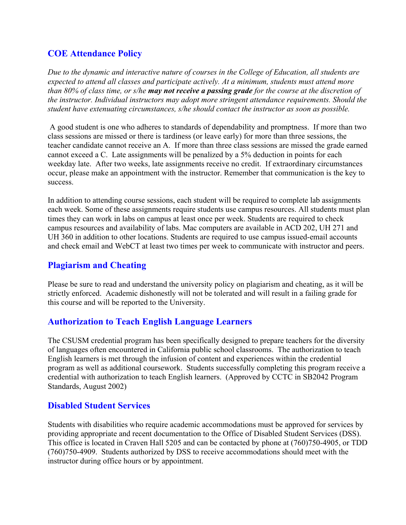# **COE Attendance Policy**

*Due to the dynamic and interactive nature of courses in the College of Education, all students are expected to attend all classes and participate actively. At a minimum, students must attend more than 80% of class time, or s/he may not receive a passing grade for the course at the discretion of the instructor. Individual instructors may adopt more stringent attendance requirements. Should the student have extenuating circumstances, s/he should contact the instructor as soon as possible.*

 A good student is one who adheres to standards of dependability and promptness. If more than two class sessions are missed or there is tardiness (or leave early) for more than three sessions, the teacher candidate cannot receive an A. If more than three class sessions are missed the grade earned cannot exceed a C. Late assignments will be penalized by a 5% deduction in points for each weekday late. After two weeks, late assignments receive no credit. If extraordinary circumstances occur, please make an appointment with the instructor. Remember that communication is the key to success.

In addition to attending course sessions, each student will be required to complete lab assignments each week. Some of these assignments require students use campus resources. All students must plan times they can work in labs on campus at least once per week. Students are required to check campus resources and availability of labs. Mac computers are available in ACD 202, UH 271 and UH 360 in addition to other locations. Students are required to use campus issued-email accounts and check email and WebCT at least two times per week to communicate with instructor and peers.

# **Plagiarism and Cheating**

Please be sure to read and understand the university policy on plagiarism and cheating, as it will be strictly enforced. Academic dishonestly will not be tolerated and will result in a failing grade for this course and will be reported to the University.

# **Authorization to Teach English Language Learners**

The CSUSM credential program has been specifically designed to prepare teachers for the diversity of languages often encountered in California public school classrooms. The authorization to teach English learners is met through the infusion of content and experiences within the credential program as well as additional coursework. Students successfully completing this program receive a credential with authorization to teach English learners. (Approved by CCTC in SB2042 Program Standards, August 2002)

# **Disabled Student Services**

Students with disabilities who require academic accommodations must be approved for services by providing appropriate and recent documentation to the Office of Disabled Student Services (DSS). This office is located in Craven Hall 5205 and can be contacted by phone at (760)750-4905, or TDD (760)750-4909. Students authorized by DSS to receive accommodations should meet with the instructor during office hours or by appointment.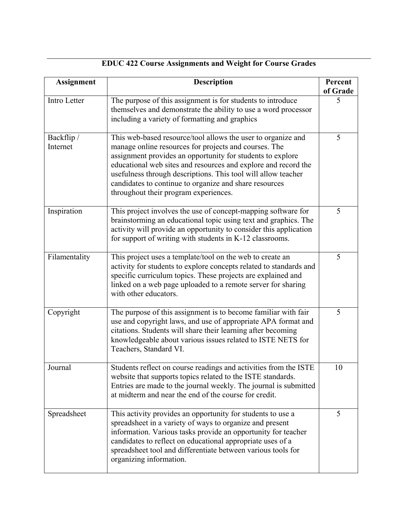| <b>Assignment</b>      | Description                                                                                                                                                                                                                                                                                                                                                                                                               | Percent<br>of Grade |
|------------------------|---------------------------------------------------------------------------------------------------------------------------------------------------------------------------------------------------------------------------------------------------------------------------------------------------------------------------------------------------------------------------------------------------------------------------|---------------------|
| Intro Letter           | The purpose of this assignment is for students to introduce<br>themselves and demonstrate the ability to use a word processor<br>including a variety of formatting and graphics                                                                                                                                                                                                                                           |                     |
| Backflip /<br>Internet | This web-based resource/tool allows the user to organize and<br>manage online resources for projects and courses. The<br>assignment provides an opportunity for students to explore<br>educational web sites and resources and explore and record the<br>usefulness through descriptions. This tool will allow teacher<br>candidates to continue to organize and share resources<br>throughout their program experiences. |                     |
| Inspiration            | This project involves the use of concept-mapping software for<br>brainstorming an educational topic using text and graphics. The<br>activity will provide an opportunity to consider this application<br>for support of writing with students in K-12 classrooms.                                                                                                                                                         | 5                   |
| Filamentality          | This project uses a template/tool on the web to create an<br>activity for students to explore concepts related to standards and<br>specific curriculum topics. These projects are explained and<br>linked on a web page uploaded to a remote server for sharing<br>with other educators.                                                                                                                                  | 5                   |
| Copyright              | The purpose of this assignment is to become familiar with fair<br>use and copyright laws, and use of appropriate APA format and<br>citations. Students will share their learning after becoming<br>knowledgeable about various issues related to ISTE NETS for<br>Teachers, Standard VI.                                                                                                                                  |                     |
| Journal                | Students reflect on course readings and activities from the ISTE<br>website that supports topics related to the ISTE standards.<br>Entries are made to the journal weekly. The journal is submitted<br>at midterm and near the end of the course for credit.                                                                                                                                                              | 10                  |
| Spreadsheet            | This activity provides an opportunity for students to use a<br>spreadsheet in a variety of ways to organize and present<br>information. Various tasks provide an opportunity for teacher<br>candidates to reflect on educational appropriate uses of a<br>spreadsheet tool and differentiate between various tools for<br>organizing information.                                                                         | 5                   |

# **EDUC 422 Course Assignments and Weight for Course Grades**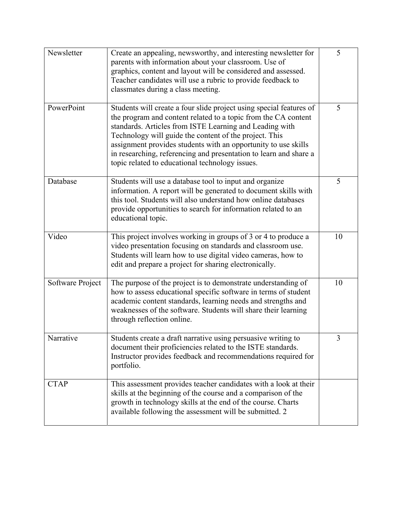| Newsletter       | Create an appealing, newsworthy, and interesting newsletter for<br>parents with information about your classroom. Use of<br>graphics, content and layout will be considered and assessed.<br>Teacher candidates will use a rubric to provide feedback to<br>classmates during a class meeting.                                                                                                                                                       | 5  |
|------------------|------------------------------------------------------------------------------------------------------------------------------------------------------------------------------------------------------------------------------------------------------------------------------------------------------------------------------------------------------------------------------------------------------------------------------------------------------|----|
| PowerPoint       | Students will create a four slide project using special features of<br>the program and content related to a topic from the CA content<br>standards. Articles from ISTE Learning and Leading with<br>Technology will guide the content of the project. This<br>assignment provides students with an opportunity to use skills<br>in researching, referencing and presentation to learn and share a<br>topic related to educational technology issues. | 5  |
| Database         | Students will use a database tool to input and organize<br>information. A report will be generated to document skills with<br>this tool. Students will also understand how online databases<br>provide opportunities to search for information related to an<br>educational topic.                                                                                                                                                                   | 5  |
| Video            | This project involves working in groups of 3 or 4 to produce a<br>video presentation focusing on standards and classroom use.<br>Students will learn how to use digital video cameras, how to<br>edit and prepare a project for sharing electronically.                                                                                                                                                                                              | 10 |
| Software Project | The purpose of the project is to demonstrate understanding of<br>how to assess educational specific software in terms of student<br>academic content standards, learning needs and strengths and<br>weaknesses of the software. Students will share their learning<br>through reflection online.                                                                                                                                                     | 10 |
| Narrative        | Students create a draft narrative using persuasive writing to<br>document their proficiencies related to the ISTE standards.<br>Instructor provides feedback and recommendations required for<br>portfolio.                                                                                                                                                                                                                                          | 3  |
| <b>CTAP</b>      | This assessment provides teacher candidates with a look at their<br>skills at the beginning of the course and a comparison of the<br>growth in technology skills at the end of the course. Charts<br>available following the assessment will be submitted. 2                                                                                                                                                                                         |    |